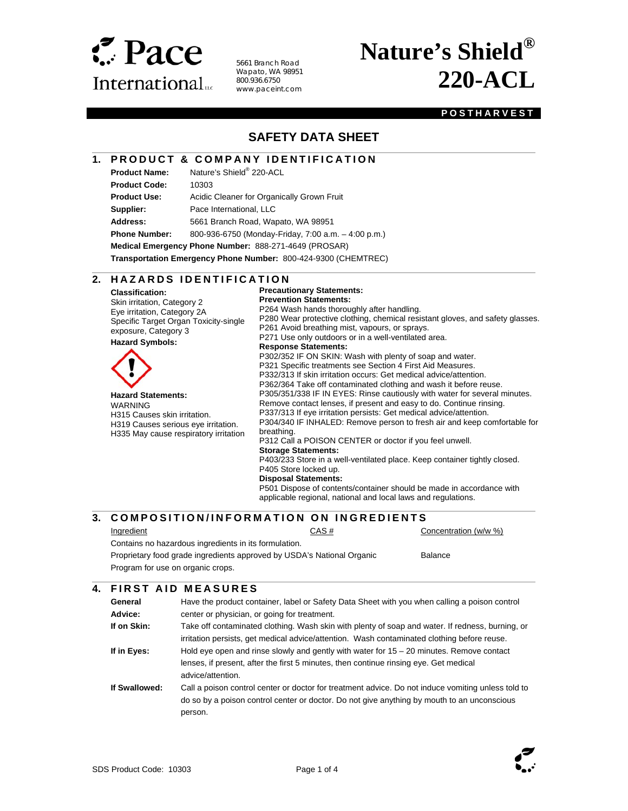

5661 Branch Road Wapato, WA 98951 800.936.6750 www.paceint.com

# **Nature's Shield® 220-ACL**

#### **POSTHARVEST**

## **SAFETY DATA SHEET**

#### **1. PRODUCT & COMPANY IDENTIFICATION**

**Product Name:** Nature's Shield® 220-ACL

l

 $\overline{a}$ 

**Product Code:** 10303

Product Use: Acidic Cleaner for Organically Grown Fruit **Supplier:** Pace International, LLC

**Address:** 5661 Branch Road, Wapato, WA 98951

**Phone Number:** 800-936-6750 (Monday-Friday, 7:00 a.m. – 4:00 p.m.)

**Medical Emergency Phone Number:** 888-271-4649 (PROSAR)

**Transportation Emergency Phone Number:** 800-424-9300 (CHEMTREC)

#### **2. HAZARDS IDENTIFICATION**

**Classification:**  Skin irritation, Category 2 Eye irritation, Category 2A Specific Target Organ Toxicity-single exposure, Category 3

**Hazard Symbols:** 



**Precautionary Statements: Prevention Statements:**  P264 Wash hands thoroughly after handling. P280 Wear protective clothing, chemical resistant gloves, and safety glasses. P261 Avoid breathing mist, vapours, or sprays. P271 Use only outdoors or in a well-ventilated area. **Response Statements:**  P302/352 IF ON SKIN: Wash with plenty of soap and water. P321 Specific treatments see Section 4 First Aid Measures. P332/313 If skin irritation occurs: Get medical advice/attention. P362/364 Take off contaminated clothing and wash it before reuse. P305/351/338 IF IN EYES: Rinse cautiously with water for several minutes. Remove contact lenses, if present and easy to do. Continue rinsing. P337/313 If eye irritation persists: Get medical advice/attention. P304/340 IF INHALED: Remove person to fresh air and keep comfortable for P312 Call a POISON CENTER or doctor if you feel unwell. **Storage Statements:**  P403/233 Store in a well-ventilated place. Keep container tightly closed. P405 Store locked up. **Disposal Statements:** 

P501 Dispose of contents/container should be made in accordance with applicable regional, national and local laws and regulations.

#### $\overline{\phantom{a}}$ **3. COMPOSITION/INFORMATION ON INGREDIENTS**

l

Ingredient CAS # Concentration (w/w %)

Contains no hazardous ingredients in its formulation. Proprietary food grade ingredients approved by USDA's National Organic Program for use on organic crops. Balance

### **4. FIRST AID MEASURES**

| General<br>Advice: | Have the product container, label or Safety Data Sheet with you when calling a poison control<br>center or physician, or going for treatment.                                                                |
|--------------------|--------------------------------------------------------------------------------------------------------------------------------------------------------------------------------------------------------------|
| If on Skin:        | Take off contaminated clothing. Wash skin with plenty of soap and water. If redness, burning, or<br>irritation persists, get medical advice/attention. Wash contaminated clothing before reuse.              |
| If in Eyes:        | Hold eye open and rinse slowly and gently with water for $15 - 20$ minutes. Remove contact<br>lenses, if present, after the first 5 minutes, then continue rinsing eye. Get medical<br>advice/attention.     |
| If Swallowed:      | Call a poison control center or doctor for treatment advice. Do not induce vomiting unless told to<br>do so by a poison control center or doctor. Do not give anything by mouth to an unconscious<br>person. |

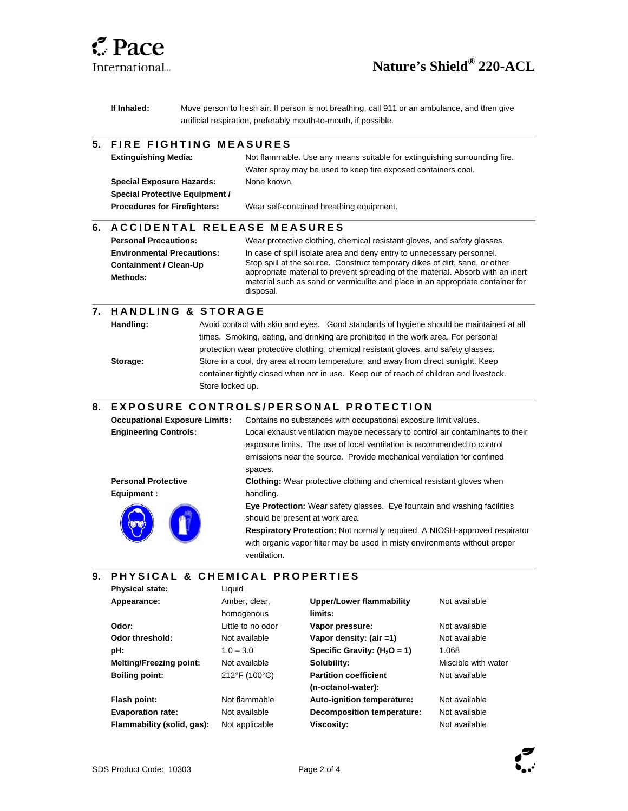

l

 $\overline{\phantom{a}}$ 

l

 $\overline{\phantom{a}}$ 

l

# **Nature's Shield® 220-ACL**

**If Inhaled:** Move person to fresh air. If person is not breathing, call 911 or an ambulance, and then give artificial respiration, preferably mouth-to-mouth, if possible.

#### **5. FIRE FIGHTING MEASURES**

| <b>Extinguishing Media:</b>           | Not flammable. Use any means suitable for extinguishing surrounding fire. |
|---------------------------------------|---------------------------------------------------------------------------|
|                                       | Water spray may be used to keep fire exposed containers cool.             |
| <b>Special Exposure Hazards:</b>      | None known.                                                               |
| <b>Special Protective Equipment /</b> |                                                                           |
| <b>Procedures for Firefighters:</b>   | Wear self-contained breathing equipment.                                  |
|                                       |                                                                           |

#### **6. A C C I D E N T A L RELEASE MEASURES**

| <b>Personal Precautions:</b>              | Wear protective clothing, chemical resistant gloves, and safety glasses.                                                                                                                                                                                      |
|-------------------------------------------|---------------------------------------------------------------------------------------------------------------------------------------------------------------------------------------------------------------------------------------------------------------|
| <b>Environmental Precautions:</b>         | In case of spill isolate area and deny entry to unnecessary personnel.                                                                                                                                                                                        |
| <b>Containment / Clean-Up</b><br>Methods: | Stop spill at the source. Construct temporary dikes of dirt, sand, or other<br>appropriate material to prevent spreading of the material. Absorb with an inert<br>material such as sand or vermiculite and place in an appropriate container for<br>disposal. |

### **7. H A N D L I N G & S T O R A G E**

**Handling:** Avoid contact with skin and eyes. Good standards of hygiene should be maintained at all times. Smoking, eating, and drinking are prohibited in the work area. For personal protection wear protective clothing, chemical resistant gloves, and safety glasses. **Storage:** Store in a cool, dry area at room temperature, and away from direct sunlight. Keep container tightly closed when not in use. Keep out of reach of children and livestock. Store locked up.

### **8. EXPOSURE CONTROLS/PERSONAL PROTECTION**

| <b>Occupational Exposure Limits:</b> | Contains no substances with occupational exposure limit values.                 |  |
|--------------------------------------|---------------------------------------------------------------------------------|--|
| <b>Engineering Controls:</b>         | Local exhaust ventilation maybe necessary to control air contaminants to their  |  |
|                                      | exposure limits. The use of local ventilation is recommended to control         |  |
|                                      | emissions near the source. Provide mechanical ventilation for confined          |  |
|                                      | spaces.                                                                         |  |
| <b>Personal Protective</b>           | <b>Clothing:</b> Wear protective clothing and chemical resistant gloves when    |  |
| Equipment :                          | handling.                                                                       |  |
|                                      | <b>Eye Protection:</b> Wear safety glasses. Eye fountain and washing facilities |  |
|                                      | should be present at work area.                                                 |  |
|                                      | Respiratory Protection: Not normally required. A NIOSH-approved respirator      |  |
|                                      | with organic vapor filter may be used in misty environments without proper      |  |
|                                      | ventilation.                                                                    |  |

#### **9. P H Y S I C A L & C H E M I C A L P R O P E R T I E S**

| <b>Physical state:</b>         | Liquid            |                                 |                     |
|--------------------------------|-------------------|---------------------------------|---------------------|
| Appearance:                    | Amber, clear,     | <b>Upper/Lower flammability</b> | Not available       |
|                                | homogenous        | limits:                         |                     |
| Odor:                          | Little to no odor | Vapor pressure:                 | Not available       |
| Odor threshold:                | Not available     | Vapor density: (air =1)         | Not available       |
| pH:                            | $1.0 - 3.0$       | Specific Gravity: $(H2O = 1)$   | 1.068               |
| <b>Melting/Freezing point:</b> | Not available     | Solubility:                     | Miscible with water |
| <b>Boiling point:</b>          | 212°F (100°C)     | <b>Partition coefficient</b>    | Not available       |
|                                |                   | (n-octanol-water):              |                     |
| Flash point:                   | Not flammable     | Auto-ignition temperature:      | Not available       |
| <b>Evaporation rate:</b>       | Not available     | Decomposition temperature:      | Not available       |
| Flammability (solid, gas):     | Not applicable    | Viscosity:                      | Not available       |
|                                |                   |                                 |                     |

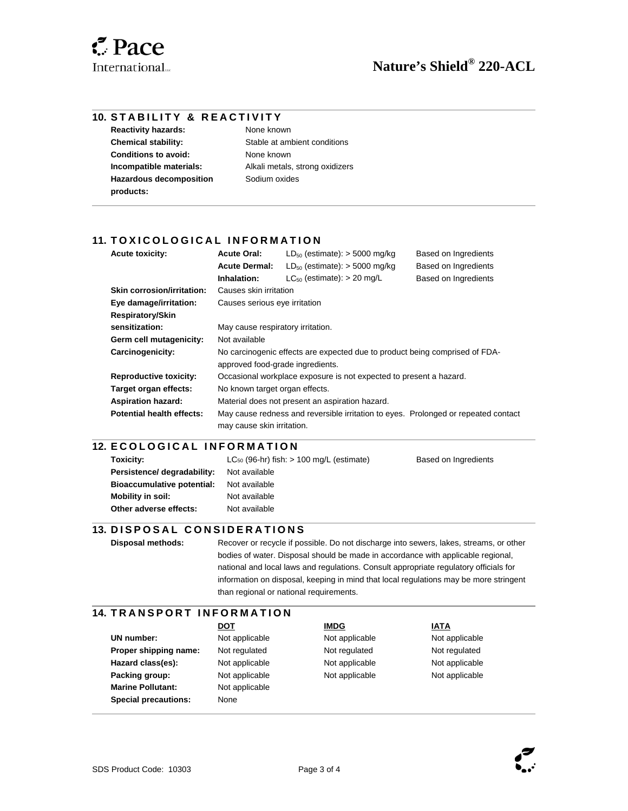$\overline{\phantom{a}}$ 

l

#### **10. STABILITY & REACTIVITY**

**Reactivity hazards:** None known **Conditions to avoid:** None known **Hazardous decomposition products:** 

**Chemical stability:** Stable at ambient conditions **Incompatible materials:** Alkali metals, strong oxidizers Sodium oxides

#### 11. TOXICOLOGICAL INFORMATION

| <b>Acute toxicity:</b>            | <b>Acute Oral:</b>                                                                                              | $LD_{50}$ (estimate): $>$ 5000 mg/kg                                               | Based on Ingredients |
|-----------------------------------|-----------------------------------------------------------------------------------------------------------------|------------------------------------------------------------------------------------|----------------------|
|                                   | <b>Acute Dermal:</b>                                                                                            | $LD_{50}$ (estimate): $>$ 5000 mg/kg                                               | Based on Ingredients |
|                                   | Inhalation:                                                                                                     | $LC_{50}$ (estimate): $> 20$ mg/L                                                  | Based on Ingredients |
| <b>Skin corrosion/irritation:</b> | Causes skin irritation                                                                                          |                                                                                    |                      |
| Eye damage/irritation:            | Causes serious eye irritation                                                                                   |                                                                                    |                      |
| <b>Respiratory/Skin</b>           |                                                                                                                 |                                                                                    |                      |
| sensitization:                    | May cause respiratory irritation.                                                                               |                                                                                    |                      |
| Germ cell mutagenicity:           | Not available                                                                                                   |                                                                                    |                      |
| Carcinogenicity:                  | No carcinogenic effects are expected due to product being comprised of FDA-<br>approved food-grade ingredients. |                                                                                    |                      |
| <b>Reproductive toxicity:</b>     | Occasional workplace exposure is not expected to present a hazard.                                              |                                                                                    |                      |
| Target organ effects:             | No known target organ effects.                                                                                  |                                                                                    |                      |
| <b>Aspiration hazard:</b>         | Material does not present an aspiration hazard.                                                                 |                                                                                    |                      |
| <b>Potential health effects:</b>  | may cause skin irritation.                                                                                      | May cause redness and reversible irritation to eyes. Prolonged or repeated contact |                      |

#### l **12. ECOLOGICAL INFORMATION**

| Toxicity:                         | $LC_{50}$ (96-hr) fish: $> 100$ mg/L (estimate) | Based on Ingredients |
|-----------------------------------|-------------------------------------------------|----------------------|
| Persistence/ degradability:       | Not available                                   |                      |
| <b>Bioaccumulative potential:</b> | Not available                                   |                      |
| Mobility in soil:                 | Not available                                   |                      |
| Other adverse effects:            | Not available                                   |                      |
|                                   |                                                 |                      |

### **13. DISPOSAL CONSIDERATIONS**

 $\overline{a}$ 

l

 $\overline{\phantom{a}}$ 

**Disposal methods:** Recover or recycle if possible. Do not discharge into sewers, lakes, streams, or other bodies of water. Disposal should be made in accordance with applicable regional, national and local laws and regulations. Consult appropriate regulatory officials for information on disposal, keeping in mind that local regulations may be more stringent than regional or national requirements.

#### **14. TRANSPORT INFORMATION**

UN number: Not applicable Not applicable Not applicable Not applicable **Proper shipping name:** Not regulated Not regulated Not regulated Not regulated **Hazard class(es):** Not applicable **Not applicable** Not applicable Not applicable **Packing group:** Not applicable Not applicable Not applicable Not applicable **Marine Pollutant:** Not applicable **Special precautions:** None

**DOT A** IMDG IMDG IATA